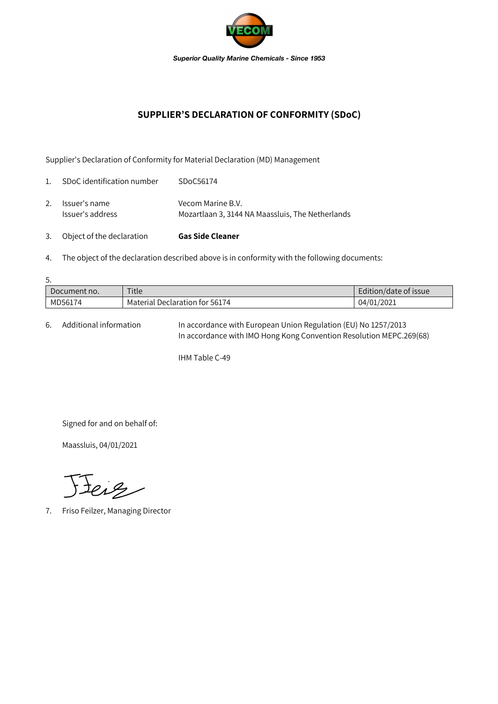

## **SUPPLIER'S DECLARATION OF CONFORMITY (SDoC)**

Supplier's Declaration of Conformity for Material Declaration (MD) Management

| 3.             | Object of the declaration         | <b>Gas Side Cleaner</b>                                               |
|----------------|-----------------------------------|-----------------------------------------------------------------------|
| 2.             | Issuer's name<br>Issuer's address | Vecom Marine B.V.<br>Mozartlaan 3, 3144 NA Maassluis, The Netherlands |
| $\mathbf{1}$ . | SDoC identification number        | SDoC56174                                                             |

4. The object of the declaration described above is in conformity with the following documents:

| 5.           |                                |                       |  |  |  |  |
|--------------|--------------------------------|-----------------------|--|--|--|--|
| Document no. | Title                          | Edition/date of issue |  |  |  |  |
| MD56174      | Material Declaration for 56174 | 04/01/2021            |  |  |  |  |

6. Additional information In accordance with European Union Regulation (EU) No 1257/2013 In accordance with IMO Hong Kong Convention Resolution MEPC.269(68)

IHM Table C-49

Signed for and on behalf of:

Maassluis, 04/01/2021

Jeiz

7. Friso Feilzer, Managing Director